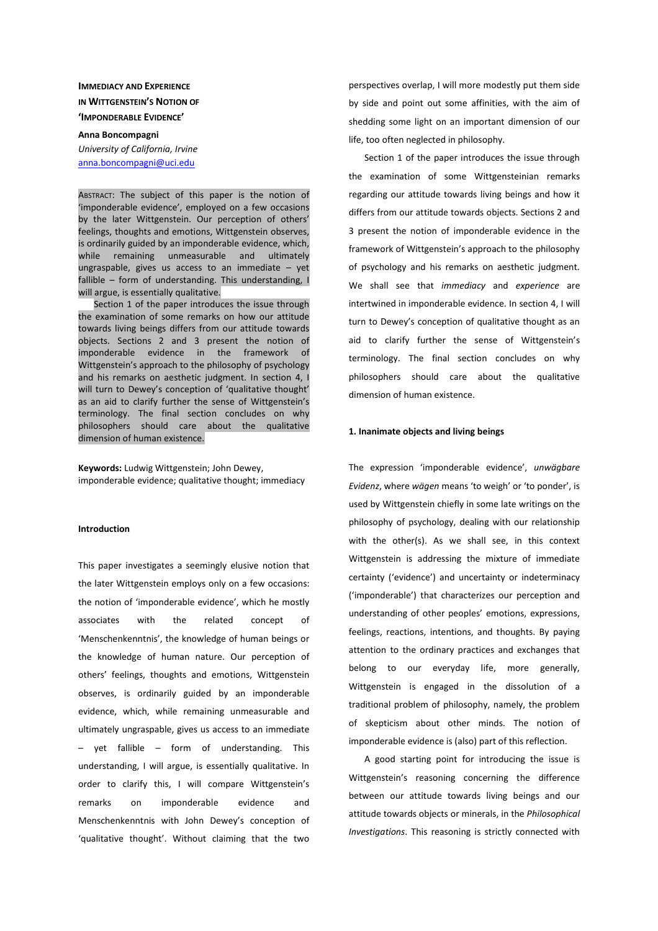# **IMMEDIACY AND EXPERIENCE IN WITTGENSTEIN'S NOTION OF 'IMPONDERABLE EVIDENCE'**

**Anna Boncompagni** *University of California, Irvine* anna.boncompagni@uci.edu

ABSTRACT: The subject of this paper is the notion of 'imponderable evidence', employed on a few occasions by the later Wittgenstein. Our perception of others' feelings, thoughts and emotions, Wittgenstein observes, is ordinarily guided by an imponderable evidence, which, while remaining unmeasurable and ultimately ungraspable, gives us access to an immediate – yet fallible – form of understanding. This understanding, I will argue, is essentially qualitative.

Section 1 of the paper introduces the issue through the examination of some remarks on how our attitude towards living beings differs from our attitude towards objects. Sections 2 and 3 present the notion of imponderable evidence in the framework of Wittgenstein's approach to the philosophy of psychology and his remarks on aesthetic judgment. In section 4, I will turn to Dewey's conception of 'qualitative thought' as an aid to clarify further the sense of Wittgenstein's terminology. The final section concludes on why philosophers should care about the qualitative dimension of human existence.

**Keywords:** Ludwig Wittgenstein; John Dewey, imponderable evidence; qualitative thought; immediacy

# **Introduction**

This paper investigates a seemingly elusive notion that the later Wittgenstein employs only on a few occasions: the notion of 'imponderable evidence', which he mostly associates with the related concept of 'Menschenkenntnis', the knowledge of human beings or the knowledge of human nature. Our perception of others' feelings, thoughts and emotions, Wittgenstein observes, is ordinarily guided by an imponderable evidence, which, while remaining unmeasurable and ultimately ungraspable, gives us access to an immediate – yet fallible – form of understanding. This understanding, I will argue, is essentially qualitative. In order to clarify this, I will compare Wittgenstein's remarks on imponderable evidence and Menschenkenntnis with John Dewey's conception of 'qualitative thought'. Without claiming that the two perspectives overlap, I will more modestly put them side by side and point out some affinities, with the aim of shedding some light on an important dimension of our life, too often neglected in philosophy.

Section 1 of the paper introduces the issue through the examination of some Wittgensteinian remarks regarding our attitude towards living beings and how it differs from our attitude towards objects. Sections 2 and 3 present the notion of imponderable evidence in the framework of Wittgenstein's approach to the philosophy of psychology and his remarks on aesthetic judgment. We shall see that *immediacy* and *experience* are intertwined in imponderable evidence. In section 4, I will turn to Dewey's conception of qualitative thought as an aid to clarify further the sense of Wittgenstein's terminology. The final section concludes on why philosophers should care about the qualitative dimension of human existence.

### **1. Inanimate objects and living beings**

The expression 'imponderable evidence', *unwägbare Evidenz*, where *wägen* means 'to weigh' or 'to ponder', is used by Wittgenstein chiefly in some late writings on the philosophy of psychology, dealing with our relationship with the other(s). As we shall see, in this context Wittgenstein is addressing the mixture of immediate certainty ('evidence') and uncertainty or indeterminacy ('imponderable') that characterizes our perception and understanding of other peoples' emotions, expressions, feelings, reactions, intentions, and thoughts. By paying attention to the ordinary practices and exchanges that belong to our everyday life, more generally, Wittgenstein is engaged in the dissolution of a traditional problem of philosophy, namely, the problem of skepticism about other minds. The notion of imponderable evidence is (also) part of this reflection.

A good starting point for introducing the issue is Wittgenstein's reasoning concerning the difference between our attitude towards living beings and our attitude towards objects or minerals, in the *Philosophical Investigations*. This reasoning is strictly connected with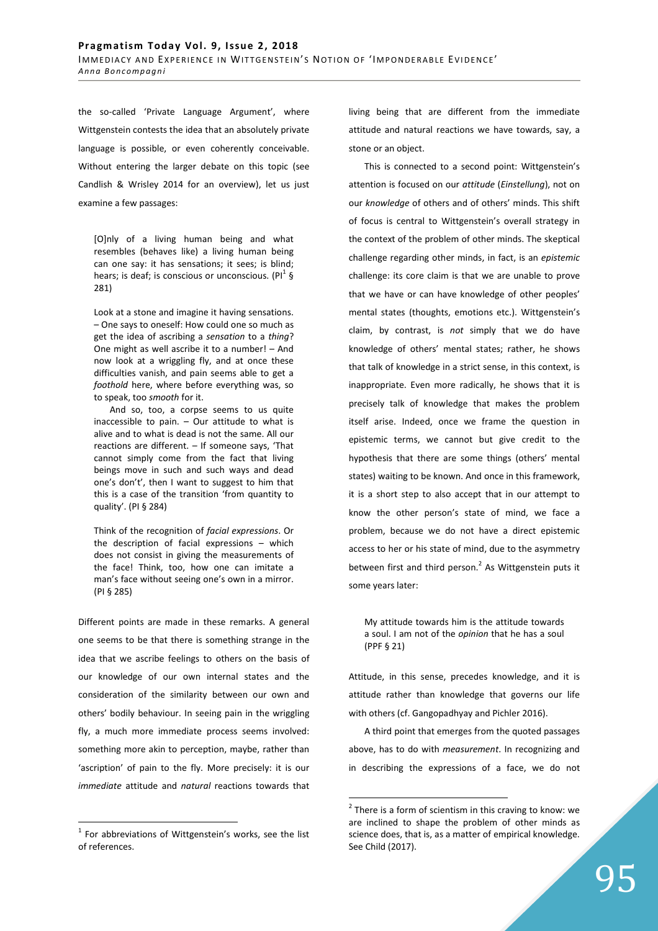the so-called 'Private Language Argument', where Wittgenstein contests the idea that an absolutely private language is possible, or even coherently conceivable. Without entering the larger debate on this topic (see Candlish & Wrisley 2014 for an overview), let us just examine a few passages:

[O]nly of a living human being and what resembles (behaves like) a living human being can one say: it has sensations; it sees; is blind; hears; is deaf; is conscious or unconscious. (Pl<sup>1</sup> § 281)

Look at a stone and imagine it having sensations. – One says to oneself: How could one so much as get the idea of ascribing a *sensation* to a *thing*? One might as well ascribe it to a number! – And now look at a wriggling fly, and at once these difficulties vanish, and pain seems able to get a *foothold* here, where before everything was, so to speak, too *smooth* for it.

And so, too, a corpse seems to us quite inaccessible to pain.  $-$  Our attitude to what is alive and to what is dead is not the same. All our reactions are different. – If someone says, 'That cannot simply come from the fact that living beings move in such and such ways and dead one's don't', then I want to suggest to him that this is a case of the transition 'from quantity to quality'. (PI § 284)

Think of the recognition of *facial expressions*. Or the description of facial expressions – which does not consist in giving the measurements of the face! Think, too, how one can imitate a man's face without seeing one's own in a mirror. (PI § 285)

Different points are made in these remarks. A general one seems to be that there is something strange in the idea that we ascribe feelings to others on the basis of our knowledge of our own internal states and the consideration of the similarity between our own and others' bodily behaviour. In seeing pain in the wriggling fly, a much more immediate process seems involved: something more akin to perception, maybe, rather than 'ascription' of pain to the fly. More precisely: it is our *immediate* attitude and *natural* reactions towards that

**The set of the set of Serian Constance 1**<br>The abbreviations of Wittgenstein's works, see the list of references.

living being that are different from the immediate attitude and natural reactions we have towards, say, a stone or an object.

This is connected to a second point: Wittgenstein's attention is focused on our *attitude* (*Einstellung*), not on our *knowledge* of others and of others' minds. This shift of focus is central to Wittgenstein's overall strategy in the context of the problem of other minds. The skeptical challenge regarding other minds, in fact, is an *epistemic* challenge: its core claim is that we are unable to prove that we have or can have knowledge of other peoples' mental states (thoughts, emotions etc.). Wittgenstein's claim, by contrast, is *not* simply that we do have knowledge of others' mental states; rather, he shows that talk of knowledge in a strict sense, in this context, is inappropriate. Even more radically, he shows that it is precisely talk of knowledge that makes the problem itself arise. Indeed, once we frame the question in epistemic terms, we cannot but give credit to the hypothesis that there are some things (others' mental states) waiting to be known. And once in this framework, it is a short step to also accept that in our attempt to know the other person's state of mind, we face a problem, because we do not have a direct epistemic access to her or his state of mind, due to the asymmetry between first and third person.<sup>2</sup> As Wittgenstein puts it some years later:

My attitude towards him is the attitude towards a soul. I am not of the *opinion* that he has a soul (PPF § 21)

Attitude, in this sense, precedes knowledge, and it is attitude rather than knowledge that governs our life with others (cf. Gangopadhyay and Pichler 2016).

A third point that emerges from the quoted passages above, has to do with *measurement*. In recognizing and in describing the expressions of a face, we do not

 $\overline{a}$ 

 $2$  There is a form of scientism in this craving to know: we are inclined to shape the problem of other minds as science does, that is, as a matter of empirical knowledge. See Child (2017).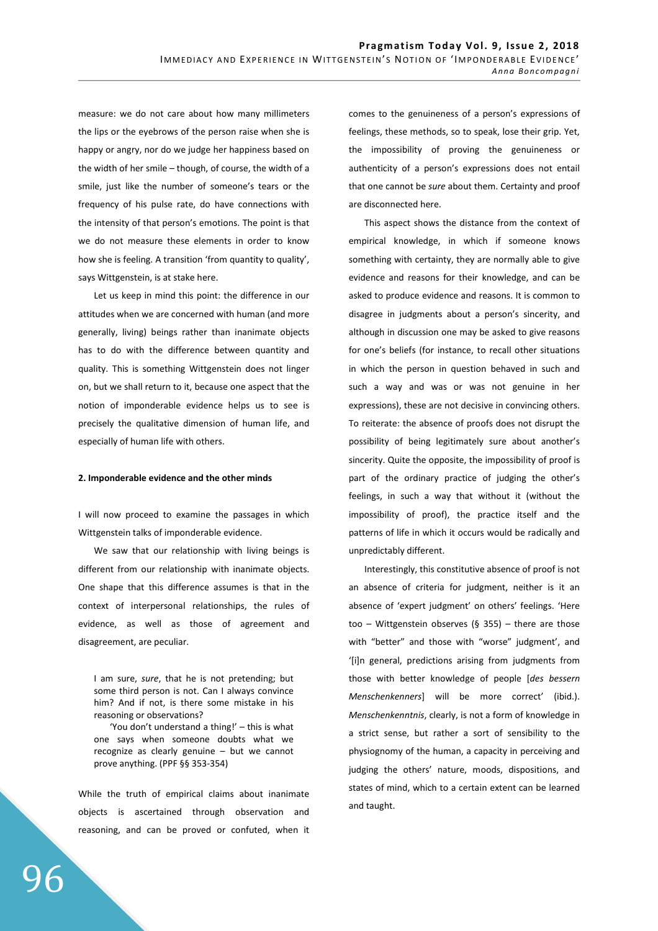measure: we do not care about how many millimeters the lips or the eyebrows of the person raise when she is happy or angry, nor do we judge her happiness based on the width of her smile – though, of course, the width of a smile, just like the number of someone's tears or the frequency of his pulse rate, do have connections with the intensity of that person's emotions. The point is that we do not measure these elements in order to know how she is feeling. A transition 'from quantity to quality', says Wittgenstein, is at stake here.

Let us keep in mind this point: the difference in our attitudes when we are concerned with human (and more generally, living) beings rather than inanimate objects has to do with the difference between quantity and quality. This is something Wittgenstein does not linger on, but we shall return to it, because one aspect that the notion of imponderable evidence helps us to see is precisely the qualitative dimension of human life, and especially of human life with others.

### **2. Imponderable evidence and the other minds**

I will now proceed to examine the passages in which Wittgenstein talks of imponderable evidence.

We saw that our relationship with living beings is different from our relationship with inanimate objects. One shape that this difference assumes is that in the context of interpersonal relationships, the rules of evidence, as well as those of agreement and disagreement, are peculiar.

I am sure, *sure*, that he is not pretending; but some third person is not. Can I always convince him? And if not, is there some mistake in his reasoning or observations?

'You don't understand a thing!' – this is what one says when someone doubts what we recognize as clearly genuine – but we cannot prove anything. (PPF §§ 353-354)

While the truth of empirical claims about inanimate objects is ascertained through observation and reasoning, and can be proved or confuted, when it comes to the genuineness of a person's expressions of feelings, these methods, so to speak, lose their grip. Yet, the impossibility of proving the genuineness or authenticity of a person's expressions does not entail that one cannot be *sure* about them. Certainty and proof are disconnected here.

This aspect shows the distance from the context of empirical knowledge, in which if someone knows something with certainty, they are normally able to give evidence and reasons for their knowledge, and can be asked to produce evidence and reasons. It is common to disagree in judgments about a person's sincerity, and although in discussion one may be asked to give reasons for one's beliefs (for instance, to recall other situations in which the person in question behaved in such and such a way and was or was not genuine in her expressions), these are not decisive in convincing others. To reiterate: the absence of proofs does not disrupt the possibility of being legitimately sure about another's sincerity. Quite the opposite, the impossibility of proof is part of the ordinary practice of judging the other's feelings, in such a way that without it (without the impossibility of proof), the practice itself and the patterns of life in which it occurs would be radically and unpredictably different.

Interestingly, this constitutive absence of proof is not an absence of criteria for judgment, neither is it an absence of 'expert judgment' on others' feelings. 'Here too – Wittgenstein observes (§ 355) – there are those with "better" and those with "worse" judgment', and '[i]n general, predictions arising from judgments from those with better knowledge of people [*des bessern Menschenkenners*] will be more correct' (ibid.). *Menschenkenntnis*, clearly, is not a form of knowledge in a strict sense, but rather a sort of sensibility to the physiognomy of the human, a capacity in perceiving and judging the others' nature, moods, dispositions, and states of mind, which to a certain extent can be learned and taught.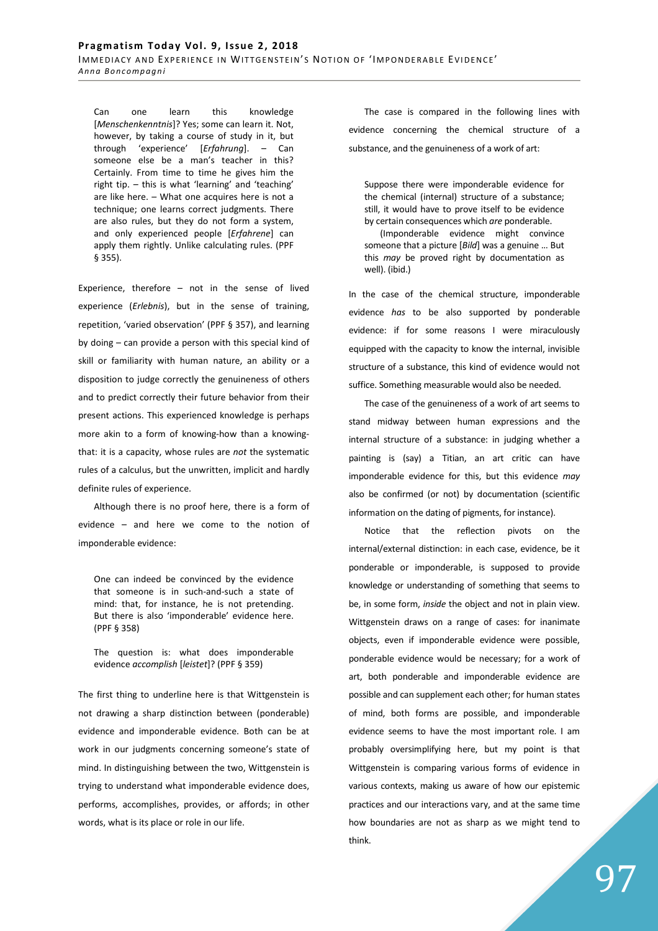Can one learn this knowledge [*Menschenkenntnis*]? Yes; some can learn it. Not, however, by taking a course of study in it, but through 'experience' [*Erfahrung*]. – Can someone else be a man's teacher in this? Certainly. From time to time he gives him the right tip. – this is what 'learning' and 'teaching' are like here. – What one acquires here is not a technique; one learns correct judgments. There are also rules, but they do not form a system, and only experienced people [*Erfahrene*] can apply them rightly. Unlike calculating rules. (PPF § 355).

Experience, therefore – not in the sense of lived experience (*Erlebnis*), but in the sense of training, repetition, 'varied observation' (PPF § 357), and learning by doing – can provide a person with this special kind of skill or familiarity with human nature, an ability or a disposition to judge correctly the genuineness of others and to predict correctly their future behavior from their present actions. This experienced knowledge is perhaps more akin to a form of knowing-how than a knowingthat: it is a capacity, whose rules are *not* the systematic rules of a calculus, but the unwritten, implicit and hardly definite rules of experience.

Although there is no proof here, there is a form of evidence – and here we come to the notion of imponderable evidence:

One can indeed be convinced by the evidence that someone is in such-and-such a state of mind: that, for instance, he is not pretending. But there is also 'imponderable' evidence here. (PPF § 358)

The question is: what does imponderable evidence *accomplish* [*leistet*]? (PPF § 359)

The first thing to underline here is that Wittgenstein is not drawing a sharp distinction between (ponderable) evidence and imponderable evidence. Both can be at work in our judgments concerning someone's state of mind. In distinguishing between the two, Wittgenstein is trying to understand what imponderable evidence does, performs, accomplishes, provides, or affords; in other words, what is its place or role in our life.

The case is compared in the following lines with evidence concerning the chemical structure of a substance, and the genuineness of a work of art:

Suppose there were imponderable evidence for the chemical (internal) structure of a substance; still, it would have to prove itself to be evidence by certain consequences which *are* ponderable.

(Imponderable evidence might convince someone that a picture [*Bild*] was a genuine … But this *may* be proved right by documentation as well). (ibid.)

In the case of the chemical structure, imponderable evidence *has* to be also supported by ponderable evidence: if for some reasons I were miraculously equipped with the capacity to know the internal, invisible structure of a substance, this kind of evidence would not suffice. Something measurable would also be needed.

The case of the genuineness of a work of art seems to stand midway between human expressions and the internal structure of a substance: in judging whether a painting is (say) a Titian, an art critic can have imponderable evidence for this, but this evidence *may* also be confirmed (or not) by documentation (scientific information on the dating of pigments, for instance).

Notice that the reflection pivots on the internal/external distinction: in each case, evidence, be it ponderable or imponderable, is supposed to provide knowledge or understanding of something that seems to be, in some form, *inside* the object and not in plain view. Wittgenstein draws on a range of cases: for inanimate objects, even if imponderable evidence were possible, ponderable evidence would be necessary; for a work of art, both ponderable and imponderable evidence are possible and can supplement each other; for human states of mind, both forms are possible, and imponderable evidence seems to have the most important role. I am probably oversimplifying here, but my point is that Wittgenstein is comparing various forms of evidence in various contexts, making us aware of how our epistemic practices and our interactions vary, and at the same time how boundaries are not as sharp as we might tend to think.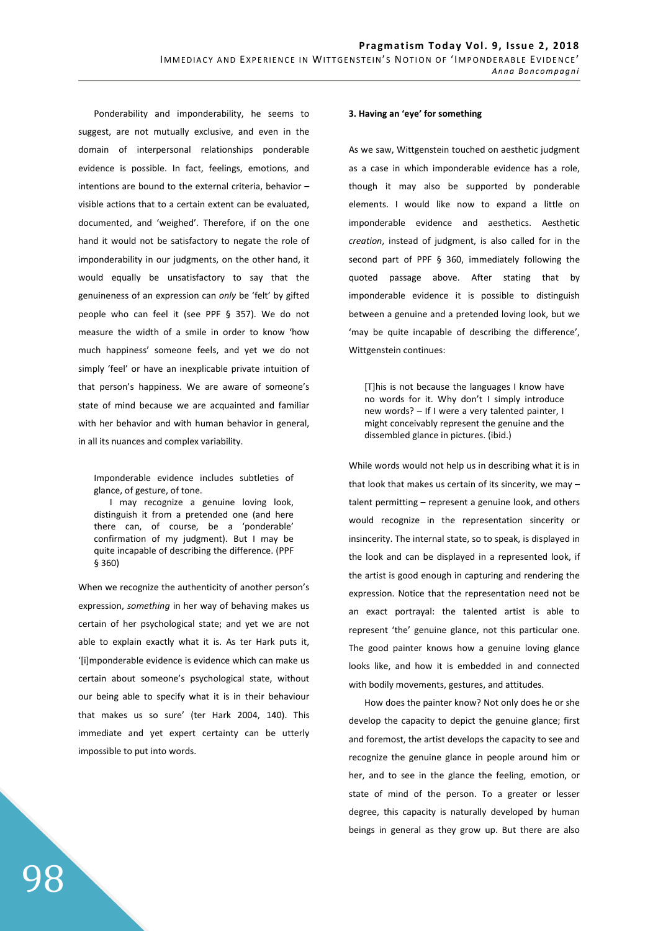Ponderability and imponderability, he seems to suggest, are not mutually exclusive, and even in the domain of interpersonal relationships ponderable evidence is possible. In fact, feelings, emotions, and intentions are bound to the external criteria, behavior – visible actions that to a certain extent can be evaluated, documented, and 'weighed'. Therefore, if on the one hand it would not be satisfactory to negate the role of imponderability in our judgments, on the other hand, it would equally be unsatisfactory to say that the genuineness of an expression can *only* be 'felt' by gifted people who can feel it (see PPF § 357). We do not measure the width of a smile in order to know 'how much happiness' someone feels, and yet we do not simply 'feel' or have an inexplicable private intuition of that person's happiness. We are aware of someone's state of mind because we are acquainted and familiar with her behavior and with human behavior in general, in all its nuances and complex variability.

Imponderable evidence includes subtleties of glance, of gesture, of tone.

I may recognize a genuine loving look, distinguish it from a pretended one (and here there can, of course, be a 'ponderable' confirmation of my judgment). But I may be quite incapable of describing the difference. (PPF § 360)

When we recognize the authenticity of another person's expression, *something* in her way of behaving makes us certain of her psychological state; and yet we are not able to explain exactly what it is. As ter Hark puts it, '[i]mponderable evidence is evidence which can make us certain about someone's psychological state, without our being able to specify what it is in their behaviour that makes us so sure' (ter Hark 2004, 140). This immediate and yet expert certainty can be utterly impossible to put into words.

#### **3. Having an 'eye' for something**

As we saw, Wittgenstein touched on aesthetic judgment as a case in which imponderable evidence has a role, though it may also be supported by ponderable elements. I would like now to expand a little on imponderable evidence and aesthetics. Aesthetic *creation*, instead of judgment, is also called for in the second part of PPF § 360, immediately following the quoted passage above. After stating that by imponderable evidence it is possible to distinguish between a genuine and a pretended loving look, but we 'may be quite incapable of describing the difference', Wittgenstein continues:

[T]his is not because the languages I know have no words for it. Why don't I simply introduce new words? – If I were a very talented painter, I might conceivably represent the genuine and the dissembled glance in pictures. (ibid.)

While words would not help us in describing what it is in that look that makes us certain of its sincerity, we may  $$ talent permitting – represent a genuine look, and others would recognize in the representation sincerity or insincerity. The internal state, so to speak, is displayed in the look and can be displayed in a represented look, if the artist is good enough in capturing and rendering the expression. Notice that the representation need not be an exact portrayal: the talented artist is able to represent 'the' genuine glance, not this particular one. The good painter knows how a genuine loving glance looks like, and how it is embedded in and connected with bodily movements, gestures, and attitudes.

How does the painter know? Not only does he or she develop the capacity to depict the genuine glance; first and foremost, the artist develops the capacity to see and recognize the genuine glance in people around him or her, and to see in the glance the feeling, emotion, or state of mind of the person. To a greater or lesser degree, this capacity is naturally developed by human beings in general as they grow up. But there are also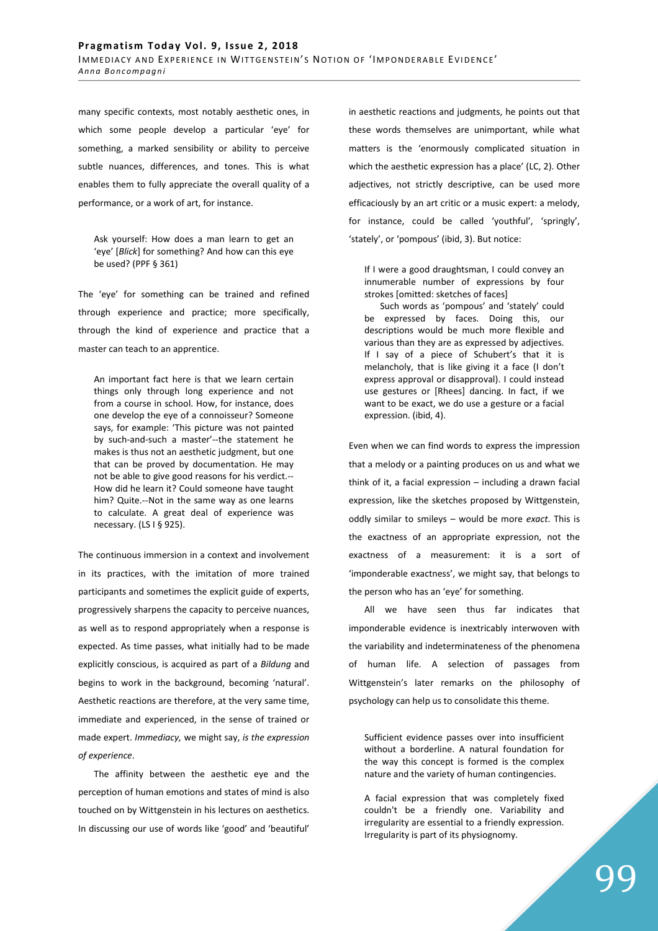many specific contexts, most notably aesthetic ones, in which some people develop a particular 'eye' for something, a marked sensibility or ability to perceive subtle nuances, differences, and tones. This is what enables them to fully appreciate the overall quality of a performance, or a work of art, for instance.

Ask yourself: How does a man learn to get an 'eye' [*Blick*] for something? And how can this eye be used? (PPF § 361)

The 'eye' for something can be trained and refined through experience and practice; more specifically, through the kind of experience and practice that a master can teach to an apprentice.

An important fact here is that we learn certain things only through long experience and not from a course in school. How, for instance, does one develop the eye of a connoisseur? Someone says, for example: 'This picture was not painted by such-and-such a master'--the statement he makes is thus not an aesthetic judgment, but one that can be proved by documentation. He may not be able to give good reasons for his verdict.-- How did he learn it? Could someone have taught him? Quite.--Not in the same way as one learns to calculate. A great deal of experience was necessary. (LS I § 925).

The continuous immersion in a context and involvement in its practices, with the imitation of more trained participants and sometimes the explicit guide of experts, progressively sharpens the capacity to perceive nuances, as well as to respond appropriately when a response is expected. As time passes, what initially had to be made explicitly conscious, is acquired as part of a *Bildung* and begins to work in the background, becoming 'natural'. Aesthetic reactions are therefore, at the very same time, immediate and experienced, in the sense of trained or made expert. *Immediacy,* we might say, *is the expression of experience*.

The affinity between the aesthetic eye and the perception of human emotions and states of mind is also touched on by Wittgenstein in his lectures on aesthetics. In discussing our use of words like 'good' and 'beautiful' in aesthetic reactions and judgments, he points out that these words themselves are unimportant, while what matters is the 'enormously complicated situation in which the aesthetic expression has a place' (LC, 2). Other adjectives, not strictly descriptive, can be used more efficaciously by an art critic or a music expert: a melody, for instance, could be called 'youthful', 'springly', 'stately', or 'pompous' (ibid, 3). But notice:

If I were a good draughtsman, I could convey an innumerable number of expressions by four strokes [omitted: sketches of faces]

Such words as 'pompous' and 'stately' could be expressed by faces. Doing this, our descriptions would be much more flexible and various than they are as expressed by adjectives. If I say of a piece of Schubert's that it is melancholy, that is like giving it a face (I don't express approval or disapproval). I could instead use gestures or [Rhees] dancing. In fact, if we want to be exact, we do use a gesture or a facial expression. (ibid, 4).

Even when we can find words to express the impression that a melody or a painting produces on us and what we think of it, a facial expression – including a drawn facial expression, like the sketches proposed by Wittgenstein, oddly similar to smileys – would be more *exact*. This is the exactness of an appropriate expression, not the exactness of a measurement: it is a sort of 'imponderable exactness', we might say, that belongs to the person who has an 'eye' for something.

All we have seen thus far indicates that imponderable evidence is inextricably interwoven with the variability and indeterminateness of the phenomena of human life. A selection of passages from Wittgenstein's later remarks on the philosophy of psychology can help us to consolidate this theme.

Sufficient evidence passes over into insufficient without a borderline. A natural foundation for the way this concept is formed is the complex nature and the variety of human contingencies.

A facial expression that was completely fixed couldn't be a friendly one. Variability and irregularity are essential to a friendly expression. Irregularity is part of its physiognomy.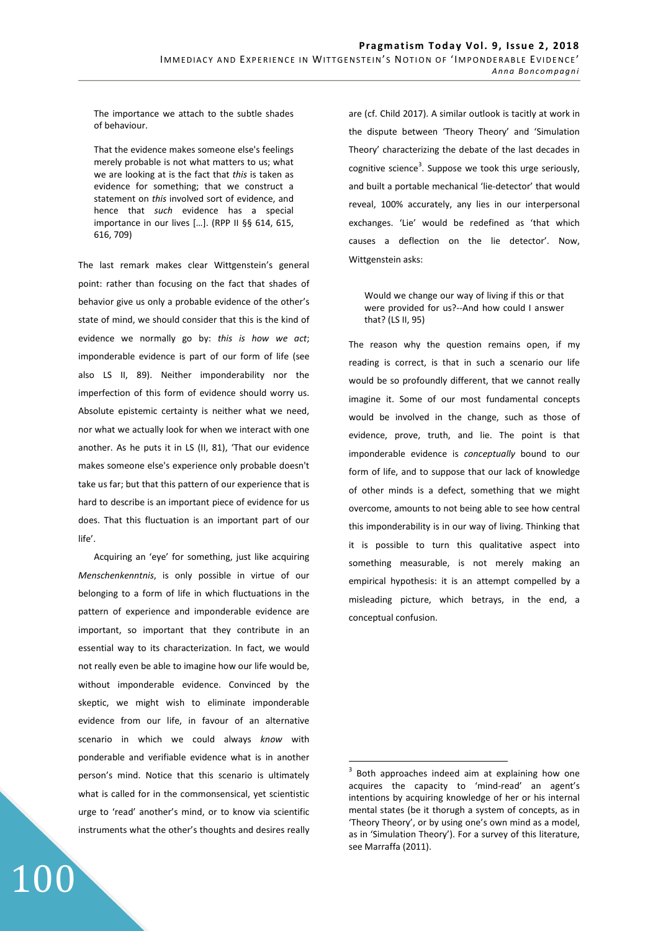The importance we attach to the subtle shades of behaviour.

That the evidence makes someone else's feelings merely probable is not what matters to us; what we are looking at is the fact that *this* is taken as evidence for something; that we construct a statement on *this* involved sort of evidence, and hence that *such* evidence has a special importance in our lives […]. (RPP II §§ 614, 615, 616, 709)

The last remark makes clear Wittgenstein's general point: rather than focusing on the fact that shades of behavior give us only a probable evidence of the other's state of mind, we should consider that this is the kind of evidence we normally go by: *this is how we act*; imponderable evidence is part of our form of life (see also LS II, 89). Neither imponderability nor the imperfection of this form of evidence should worry us. Absolute epistemic certainty is neither what we need, nor what we actually look for when we interact with one another. As he puts it in LS (II, 81), 'That our evidence makes someone else's experience only probable doesn't take us far; but that this pattern of our experience that is hard to describe is an important piece of evidence for us does. That this fluctuation is an important part of our life'.

Acquiring an 'eye' for something, just like acquiring *Menschenkenntnis*, is only possible in virtue of our belonging to a form of life in which fluctuations in the pattern of experience and imponderable evidence are important, so important that they contribute in an essential way to its characterization. In fact, we would not really even be able to imagine how our life would be, without imponderable evidence. Convinced by the skeptic, we might wish to eliminate imponderable evidence from our life, in favour of an alternative scenario in which we could always *know* with ponderable and verifiable evidence what is in another person's mind. Notice that this scenario is ultimately what is called for in the commonsensical, yet scientistic urge to 'read' another's mind, or to know via scientific instruments what the other's thoughts and desires really

100

are (cf. Child 2017). A similar outlook is tacitly at work in the dispute between 'Theory Theory' and 'Simulation Theory' characterizing the debate of the last decades in cognitive science $^3$ . Suppose we took this urge seriously, and built a portable mechanical 'lie-detector' that would reveal, 100% accurately, any lies in our interpersonal exchanges. 'Lie' would be redefined as 'that which causes a deflection on the lie detector'. Now, Wittgenstein asks:

# Would we change our way of living if this or that were provided for us?--And how could I answer that? (LS II, 95)

The reason why the question remains open, if my reading is correct, is that in such a scenario our life would be so profoundly different, that we cannot really imagine it. Some of our most fundamental concepts would be involved in the change, such as those of evidence, prove, truth, and lie. The point is that imponderable evidence is *conceptually* bound to our form of life, and to suppose that our lack of knowledge of other minds is a defect, something that we might overcome, amounts to not being able to see how central this imponderability is in our way of living. Thinking that it is possible to turn this qualitative aspect into something measurable, is not merely making an empirical hypothesis: it is an attempt compelled by a misleading picture, which betrays, in the end, a conceptual confusion.

 $\overline{a}$ 

<sup>3</sup> Both approaches indeed aim at explaining how one acquires the capacity to 'mind-read' an agent's intentions by acquiring knowledge of her or his internal mental states (be it thorugh a system of concepts, as in 'Theory Theory', or by using one's own mind as a model, as in 'Simulation Theory'). For a survey of this literature, see Marraffa (2011).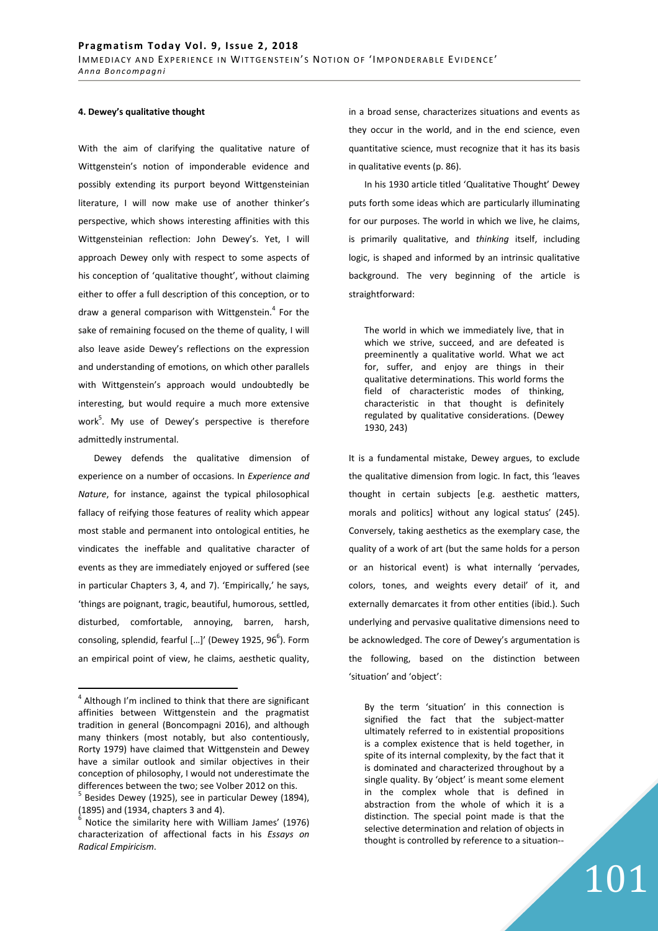#### **4. Dewey's qualitative thought**

With the aim of clarifying the qualitative nature of Wittgenstein's notion of imponderable evidence and possibly extending its purport beyond Wittgensteinian literature, I will now make use of another thinker's perspective, which shows interesting affinities with this Wittgensteinian reflection: John Dewey's. Yet, I will approach Dewey only with respect to some aspects of his conception of 'qualitative thought', without claiming either to offer a full description of this conception, or to draw a general comparison with Wittgenstein.<sup>4</sup> For the sake of remaining focused on the theme of quality, I will also leave aside Dewey's reflections on the expression and understanding of emotions, on which other parallels with Wittgenstein's approach would undoubtedly be interesting, but would require a much more extensive work<sup>5</sup>. My use of Dewey's perspective is therefore admittedly instrumental.

Dewey defends the qualitative dimension of experience on a number of occasions. In *Experience and Nature*, for instance, against the typical philosophical fallacy of reifying those features of reality which appear most stable and permanent into ontological entities, he vindicates the ineffable and qualitative character of events as they are immediately enjoyed or suffered (see in particular Chapters 3, 4, and 7). 'Empirically,' he says, 'things are poignant, tragic, beautiful, humorous, settled, disturbed, comfortable, annoying, barren, harsh, consoling, splendid, fearful [...]' (Dewey 1925, 96<sup>6</sup>). Form an empirical point of view, he claims, aesthetic quality,

 $\overline{a}$ 

in a broad sense, characterizes situations and events as they occur in the world, and in the end science, even quantitative science, must recognize that it has its basis in qualitative events (p. 86).

In his 1930 article titled 'Qualitative Thought' Dewey puts forth some ideas which are particularly illuminating for our purposes. The world in which we live, he claims, is primarily qualitative, and *thinking* itself, including logic, is shaped and informed by an intrinsic qualitative background. The very beginning of the article is straightforward:

The world in which we immediately live, that in which we strive, succeed, and are defeated is preeminently a qualitative world. What we act for, suffer, and enjoy are things in their qualitative determinations. This world forms the field of characteristic modes of thinking, characteristic in that thought is definitely regulated by qualitative considerations. (Dewey 1930, 243)

It is a fundamental mistake, Dewey argues, to exclude the qualitative dimension from logic. In fact, this 'leaves thought in certain subjects [e.g. aesthetic matters, morals and politics] without any logical status' (245). Conversely, taking aesthetics as the exemplary case, the quality of a work of art (but the same holds for a person or an historical event) is what internally 'pervades, colors, tones, and weights every detail' of it, and externally demarcates it from other entities (ibid.). Such underlying and pervasive qualitative dimensions need to be acknowledged. The core of Dewey's argumentation is the following, based on the distinction between 'situation' and 'object':

By the term 'situation' in this connection is signified the fact that the subject-matter ultimately referred to in existential propositions is a complex existence that is held together, in spite of its internal complexity, by the fact that it is dominated and characterized throughout by a single quality. By 'object' is meant some element in the complex whole that is defined in abstraction from the whole of which it is a distinction. The special point made is that the selective determination and relation of objects in thought is controlled by reference to a situation--

<sup>&</sup>lt;sup>4</sup> Although I'm inclined to think that there are significant affinities between Wittgenstein and the pragmatist tradition in general (Boncompagni 2016), and although many thinkers (most notably, but also contentiously, Rorty 1979) have claimed that Wittgenstein and Dewey have a similar outlook and similar objectives in their conception of philosophy, I would not underestimate the differences between the two; see Volber 2012 on this. 5

Besides Dewey (1925), see in particular Dewey (1894), (1895) and (1934, chapters 3 and 4).

 $6$  Notice the similarity here with William James' (1976) characterization of affectional facts in his *Essays on Radical Empiricism*.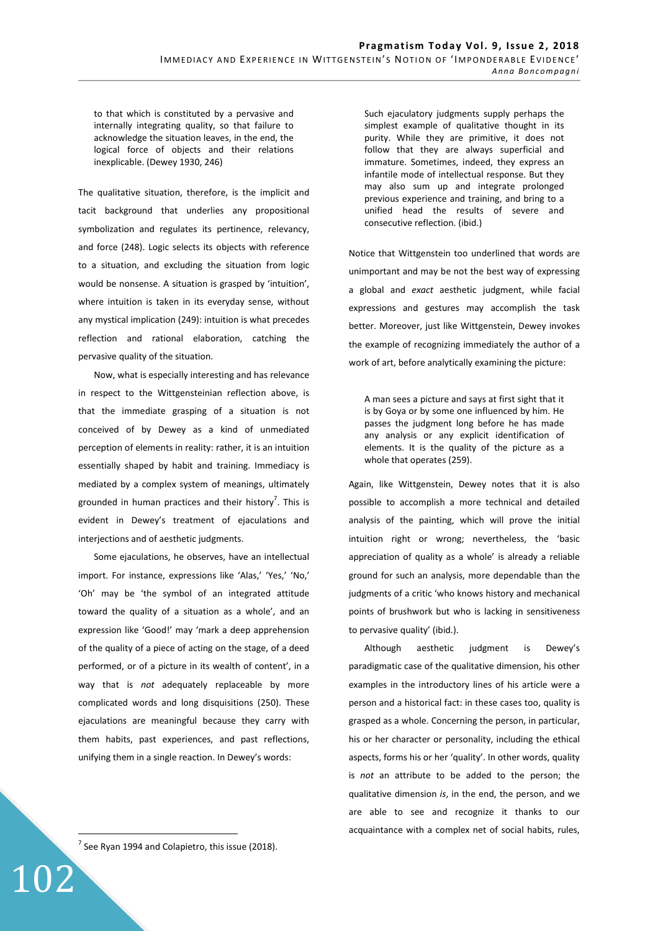to that which is constituted by a pervasive and internally integrating quality, so that failure to acknowledge the situation leaves, in the end, the logical force of objects and their relations inexplicable. (Dewey 1930, 246)

The qualitative situation, therefore, is the implicit and tacit background that underlies any propositional symbolization and regulates its pertinence, relevancy, and force (248). Logic selects its objects with reference to a situation, and excluding the situation from logic would be nonsense. A situation is grasped by 'intuition', where intuition is taken in its everyday sense, without any mystical implication (249): intuition is what precedes reflection and rational elaboration, catching the pervasive quality of the situation.

Now, what is especially interesting and has relevance in respect to the Wittgensteinian reflection above, is that the immediate grasping of a situation is not conceived of by Dewey as a kind of unmediated perception of elements in reality: rather, it is an intuition essentially shaped by habit and training. Immediacy is mediated by a complex system of meanings, ultimately grounded in human practices and their history<sup>7</sup>. This is evident in Dewey's treatment of ejaculations and interjections and of aesthetic judgments.

Some ejaculations, he observes, have an intellectual import. For instance, expressions like 'Alas,' 'Yes,' 'No,' 'Oh' may be 'the symbol of an integrated attitude toward the quality of a situation as a whole', and an expression like 'Good!' may 'mark a deep apprehension of the quality of a piece of acting on the stage, of a deed performed, or of a picture in its wealth of content', in a way that is *not* adequately replaceable by more complicated words and long disquisitions (250). These ejaculations are meaningful because they carry with them habits, past experiences, and past reflections, unifying them in a single reaction. In Dewey's words:

Such ejaculatory judgments supply perhaps the simplest example of qualitative thought in its purity. While they are primitive, it does not follow that they are always superficial and immature. Sometimes, indeed, they express an infantile mode of intellectual response. But they may also sum up and integrate prolonged previous experience and training, and bring to a unified head the results of severe and consecutive reflection. (ibid.)

Notice that Wittgenstein too underlined that words are unimportant and may be not the best way of expressing a global and *exact* aesthetic judgment, while facial expressions and gestures may accomplish the task better. Moreover, just like Wittgenstein, Dewey invokes the example of recognizing immediately the author of a work of art, before analytically examining the picture:

A man sees a picture and says at first sight that it is by Goya or by some one influenced by him. He passes the judgment long before he has made any analysis or any explicit identification of elements. It is the quality of the picture as a whole that operates (259).

Again, like Wittgenstein, Dewey notes that it is also possible to accomplish a more technical and detailed analysis of the painting, which will prove the initial intuition right or wrong; nevertheless, the 'basic appreciation of quality as a whole' is already a reliable ground for such an analysis, more dependable than the judgments of a critic 'who knows history and mechanical points of brushwork but who is lacking in sensitiveness to pervasive quality' (ibid.).

Although aesthetic judgment is Dewey's paradigmatic case of the qualitative dimension, his other examples in the introductory lines of his article were a person and a historical fact: in these cases too, quality is grasped as a whole. Concerning the person, in particular, his or her character or personality, including the ethical aspects, forms his or her 'quality'. In other words, quality is *not* an attribute to be added to the person; the qualitative dimension *is*, in the end, the person, and we are able to see and recognize it thanks to our acquaintance with a complex net of social habits, rules,

 $<sup>7</sup>$  See Ryan 1994 and Colapietro, this issue (2018).</sup>

102

 $\overline{a}$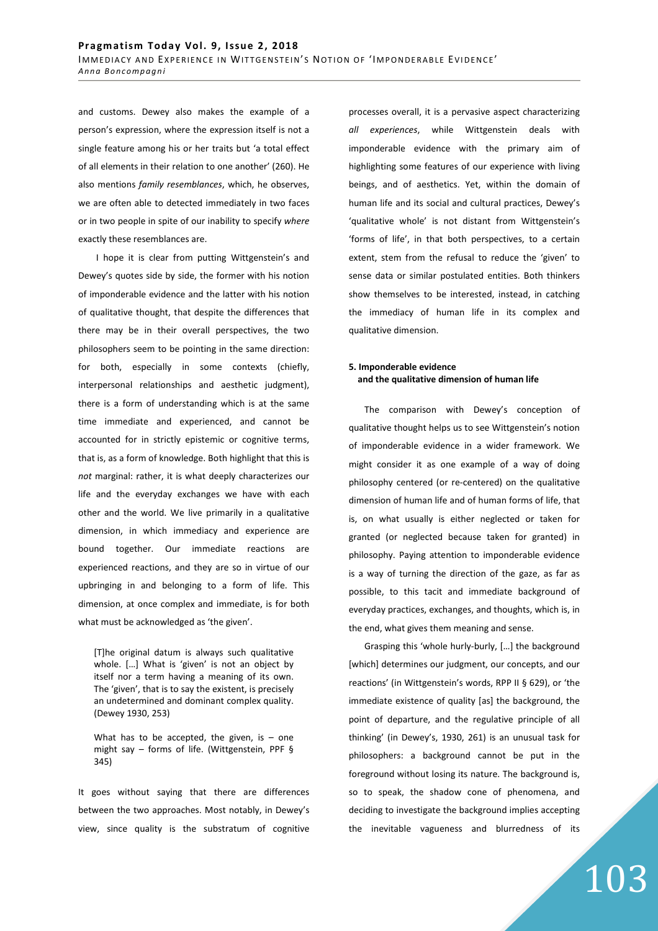and customs. Dewey also makes the example of a person's expression, where the expression itself is not a single feature among his or her traits but 'a total effect of all elements in their relation to one another' (260). He also mentions *family resemblances*, which, he observes, we are often able to detected immediately in two faces or in two people in spite of our inability to specify *where* exactly these resemblances are.

 I hope it is clear from putting Wittgenstein's and Dewey's quotes side by side, the former with his notion of imponderable evidence and the latter with his notion of qualitative thought, that despite the differences that there may be in their overall perspectives, the two philosophers seem to be pointing in the same direction: for both, especially in some contexts (chiefly, interpersonal relationships and aesthetic judgment), there is a form of understanding which is at the same time immediate and experienced, and cannot be accounted for in strictly epistemic or cognitive terms, that is, as a form of knowledge. Both highlight that this is *not* marginal: rather, it is what deeply characterizes our life and the everyday exchanges we have with each other and the world. We live primarily in a qualitative dimension, in which immediacy and experience are bound together. Our immediate reactions are experienced reactions, and they are so in virtue of our upbringing in and belonging to a form of life. This dimension, at once complex and immediate, is for both what must be acknowledged as 'the given'.

[T]he original datum is always such qualitative whole. […] What is 'given' is not an object by itself nor a term having a meaning of its own. The 'given', that is to say the existent, is precisely an undetermined and dominant complex quality. (Dewey 1930, 253)

What has to be accepted, the given, is  $-$  one might say – forms of life. (Wittgenstein, PPF § 345)

It goes without saying that there are differences between the two approaches. Most notably, in Dewey's view, since quality is the substratum of cognitive processes overall, it is a pervasive aspect characterizing *all experiences*, while Wittgenstein deals with imponderable evidence with the primary aim of highlighting some features of our experience with living beings, and of aesthetics. Yet, within the domain of human life and its social and cultural practices, Dewey's 'qualitative whole' is not distant from Wittgenstein's 'forms of life', in that both perspectives, to a certain extent, stem from the refusal to reduce the 'given' to sense data or similar postulated entities. Both thinkers show themselves to be interested, instead, in catching the immediacy of human life in its complex and qualitative dimension.

# **5. Imponderable evidence and the qualitative dimension of human life**

The comparison with Dewey's conception of qualitative thought helps us to see Wittgenstein's notion of imponderable evidence in a wider framework. We might consider it as one example of a way of doing philosophy centered (or re-centered) on the qualitative dimension of human life and of human forms of life, that is, on what usually is either neglected or taken for granted (or neglected because taken for granted) in philosophy. Paying attention to imponderable evidence is a way of turning the direction of the gaze, as far as possible, to this tacit and immediate background of everyday practices, exchanges, and thoughts, which is, in the end, what gives them meaning and sense.

Grasping this 'whole hurly-burly, […] the background [which] determines our judgment, our concepts, and our reactions' (in Wittgenstein's words, RPP II § 629), or 'the immediate existence of quality [as] the background, the point of departure, and the regulative principle of all thinking' (in Dewey's, 1930, 261) is an unusual task for philosophers: a background cannot be put in the foreground without losing its nature. The background is, so to speak, the shadow cone of phenomena, and deciding to investigate the background implies accepting the inevitable vagueness and blurredness of its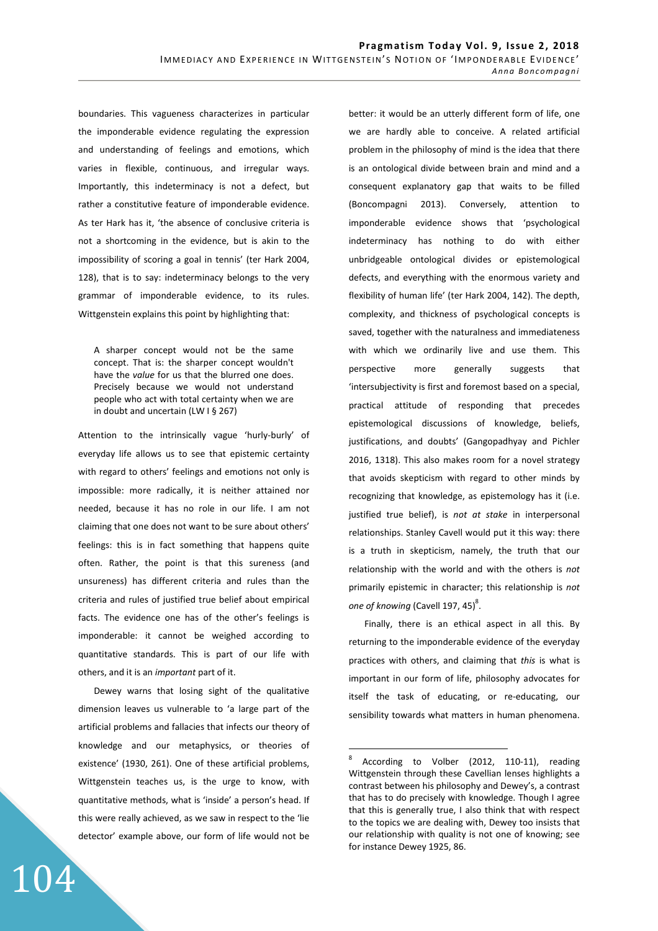boundaries. This vagueness characterizes in particular the imponderable evidence regulating the expression and understanding of feelings and emotions, which varies in flexible, continuous, and irregular ways. Importantly, this indeterminacy is not a defect, but rather a constitutive feature of imponderable evidence. As ter Hark has it, 'the absence of conclusive criteria is not a shortcoming in the evidence, but is akin to the impossibility of scoring a goal in tennis' (ter Hark 2004, 128), that is to say: indeterminacy belongs to the very grammar of imponderable evidence, to its rules. Wittgenstein explains this point by highlighting that:

A sharper concept would not be the same concept. That is: the sharper concept wouldn't have the *value* for us that the blurred one does. Precisely because we would not understand people who act with total certainty when we are in doubt and uncertain (LW I § 267)

Attention to the intrinsically vague 'hurly-burly' of everyday life allows us to see that epistemic certainty with regard to others' feelings and emotions not only is impossible: more radically, it is neither attained nor needed, because it has no role in our life. I am not claiming that one does not want to be sure about others' feelings: this is in fact something that happens quite often. Rather, the point is that this sureness (and unsureness) has different criteria and rules than the criteria and rules of justified true belief about empirical facts. The evidence one has of the other's feelings is imponderable: it cannot be weighed according to quantitative standards. This is part of our life with others, and it is an *important* part of it.

Dewey warns that losing sight of the qualitative dimension leaves us vulnerable to 'a large part of the artificial problems and fallacies that infects our theory of knowledge and our metaphysics, or theories of existence' (1930, 261). One of these artificial problems, Wittgenstein teaches us, is the urge to know, with quantitative methods, what is 'inside' a person's head. If this were really achieved, as we saw in respect to the 'lie detector' example above, our form of life would not be

104

better: it would be an utterly different form of life, one we are hardly able to conceive. A related artificial problem in the philosophy of mind is the idea that there is an ontological divide between brain and mind and a consequent explanatory gap that waits to be filled (Boncompagni 2013). Conversely, attention to imponderable evidence shows that 'psychological indeterminacy has nothing to do with either unbridgeable ontological divides or epistemological defects, and everything with the enormous variety and flexibility of human life' (ter Hark 2004, 142). The depth, complexity, and thickness of psychological concepts is saved, together with the naturalness and immediateness with which we ordinarily live and use them. This perspective more generally suggests that 'intersubjectivity is first and foremost based on a special, practical attitude of responding that precedes epistemological discussions of knowledge, beliefs, justifications, and doubts' (Gangopadhyay and Pichler 2016, 1318). This also makes room for a novel strategy that avoids skepticism with regard to other minds by recognizing that knowledge, as epistemology has it (i.e. justified true belief), is *not at stake* in interpersonal relationships. Stanley Cavell would put it this way: there is a truth in skepticism, namely, the truth that our relationship with the world and with the others is *not* primarily epistemic in character; this relationship is *not*  one of knowing (Cavell 197, 45)<sup>8</sup>.

Finally, there is an ethical aspect in all this. By returning to the imponderable evidence of the everyday practices with others, and claiming that *this* is what is important in our form of life, philosophy advocates for itself the task of educating, or re-educating, our sensibility towards what matters in human phenomena.

 $\frac{1}{8}$  According to Volber (2012, 110-11), reading Wittgenstein through these Cavellian lenses highlights a contrast between his philosophy and Dewey's, a contrast that has to do precisely with knowledge. Though I agree that this is generally true, I also think that with respect to the topics we are dealing with, Dewey too insists that our relationship with quality is not one of knowing; see for instance Dewey 1925, 86.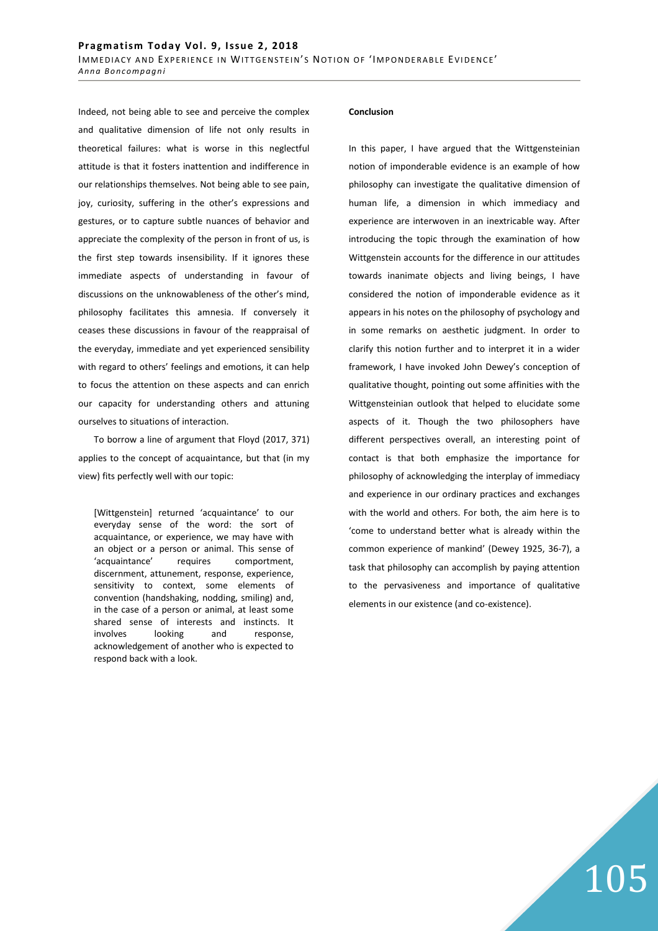Indeed, not being able to see and perceive the complex and qualitative dimension of life not only results in theoretical failures: what is worse in this neglectful attitude is that it fosters inattention and indifference in our relationships themselves. Not being able to see pain, joy, curiosity, suffering in the other's expressions and gestures, or to capture subtle nuances of behavior and appreciate the complexity of the person in front of us, is the first step towards insensibility. If it ignores these immediate aspects of understanding in favour of discussions on the unknowableness of the other's mind, philosophy facilitates this amnesia. If conversely it ceases these discussions in favour of the reappraisal of the everyday, immediate and yet experienced sensibility with regard to others' feelings and emotions, it can help to focus the attention on these aspects and can enrich our capacity for understanding others and attuning ourselves to situations of interaction.

To borrow a line of argument that Floyd (2017, 371) applies to the concept of acquaintance, but that (in my view) fits perfectly well with our topic:

[Wittgenstein] returned 'acquaintance' to our everyday sense of the word: the sort of acquaintance, or experience, we may have with an object or a person or animal. This sense of 'acquaintance' requires comportment, discernment, attunement, response, experience, sensitivity to context, some elements of convention (handshaking, nodding, smiling) and, in the case of a person or animal, at least some shared sense of interests and instincts. It involves looking and response, acknowledgement of another who is expected to respond back with a look.

#### **Conclusion**

In this paper, I have argued that the Wittgensteinian notion of imponderable evidence is an example of how philosophy can investigate the qualitative dimension of human life, a dimension in which immediacy and experience are interwoven in an inextricable way. After introducing the topic through the examination of how Wittgenstein accounts for the difference in our attitudes towards inanimate objects and living beings, I have considered the notion of imponderable evidence as it appears in his notes on the philosophy of psychology and in some remarks on aesthetic judgment. In order to clarify this notion further and to interpret it in a wider framework, I have invoked John Dewey's conception of qualitative thought, pointing out some affinities with the Wittgensteinian outlook that helped to elucidate some aspects of it. Though the two philosophers have different perspectives overall, an interesting point of contact is that both emphasize the importance for philosophy of acknowledging the interplay of immediacy and experience in our ordinary practices and exchanges with the world and others. For both, the aim here is to 'come to understand better what is already within the common experience of mankind' (Dewey 1925, 36-7), a task that philosophy can accomplish by paying attention to the pervasiveness and importance of qualitative elements in our existence (and co-existence).